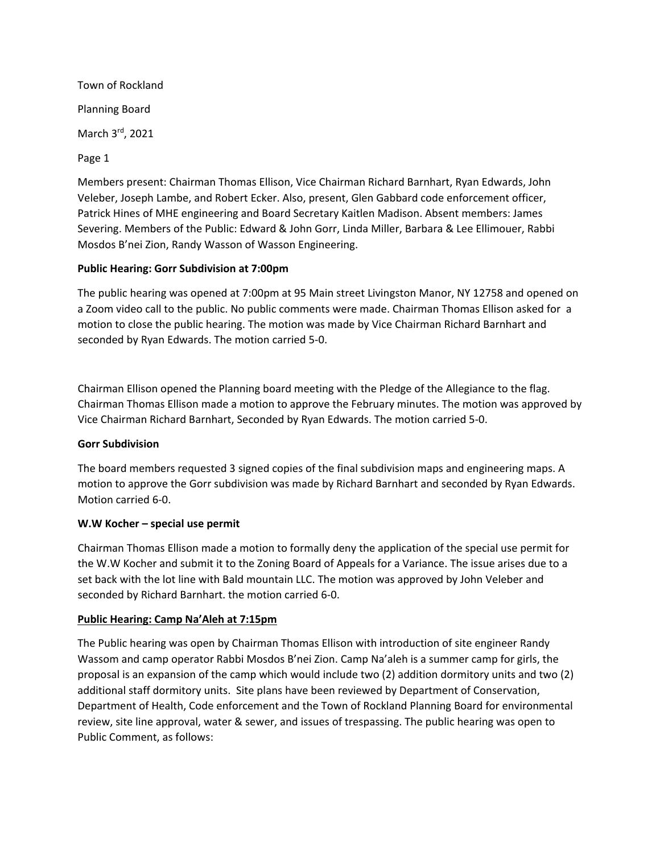Town of Rockland Planning Board March 3rd, 2021 Page 1

Members present: Chairman Thomas Ellison, Vice Chairman Richard Barnhart, Ryan Edwards, John Veleber, Joseph Lambe, and Robert Ecker. Also, present, Glen Gabbard code enforcement officer, Patrick Hines of MHE engineering and Board Secretary Kaitlen Madison. Absent members: James Severing. Members of the Public: Edward & John Gorr, Linda Miller, Barbara & Lee Ellimouer, Rabbi Mosdos B'nei Zion, Randy Wasson of Wasson Engineering.

### **Public Hearing: Gorr Subdivision at 7:00pm**

The public hearing was opened at 7:00pm at 95 Main street Livingston Manor, NY 12758 and opened on a Zoom video call to the public. No public comments were made. Chairman Thomas Ellison asked for a motion to close the public hearing. The motion was made by Vice Chairman Richard Barnhart and seconded by Ryan Edwards. The motion carried 5-0.

Chairman Ellison opened the Planning board meeting with the Pledge of the Allegiance to the flag. Chairman Thomas Ellison made a motion to approve the February minutes. The motion was approved by Vice Chairman Richard Barnhart, Seconded by Ryan Edwards. The motion carried 5-0.

#### **Gorr Subdivision**

The board members requested 3 signed copies of the final subdivision maps and engineering maps. A motion to approve the Gorr subdivision was made by Richard Barnhart and seconded by Ryan Edwards. Motion carried 6-0.

#### **W.W Kocher – special use permit**

Chairman Thomas Ellison made a motion to formally deny the application of the special use permit for the W.W Kocher and submit it to the Zoning Board of Appeals for a Variance. The issue arises due to a set back with the lot line with Bald mountain LLC. The motion was approved by John Veleber and seconded by Richard Barnhart. the motion carried 6-0.

#### **Public Hearing: Camp Na'Aleh at 7:15pm**

The Public hearing was open by Chairman Thomas Ellison with introduction of site engineer Randy Wassom and camp operator Rabbi Mosdos B'nei Zion. Camp Na'aleh is a summer camp for girls, the proposal is an expansion of the camp which would include two (2) addition dormitory units and two (2) additional staff dormitory units. Site plans have been reviewed by Department of Conservation, Department of Health, Code enforcement and the Town of Rockland Planning Board for environmental review, site line approval, water & sewer, and issues of trespassing. The public hearing was open to Public Comment, as follows: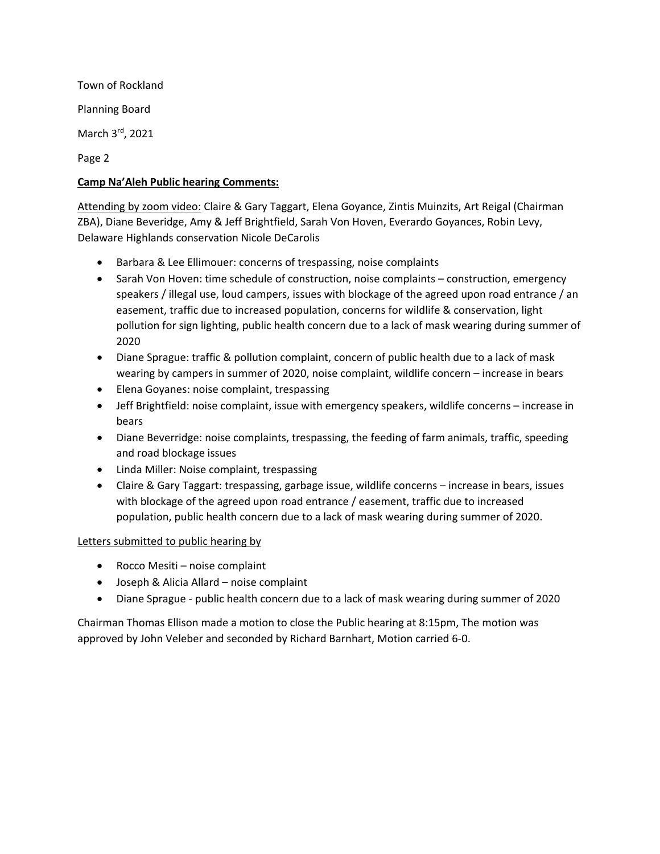Town of Rockland Planning Board March 3rd, 2021

Page 2

## **Camp Na'Aleh Public hearing Comments:**

Attending by zoom video: Claire & Gary Taggart, Elena Goyance, Zintis Muinzits, Art Reigal (Chairman ZBA), Diane Beveridge, Amy & Jeff Brightfield, Sarah Von Hoven, Everardo Goyances, Robin Levy, Delaware Highlands conservation Nicole DeCarolis

- Barbara & Lee Ellimouer: concerns of trespassing, noise complaints
- Sarah Von Hoven: time schedule of construction, noise complaints construction, emergency speakers / illegal use, loud campers, issues with blockage of the agreed upon road entrance / an easement, traffic due to increased population, concerns for wildlife & conservation, light pollution for sign lighting, public health concern due to a lack of mask wearing during summer of 2020
- Diane Sprague: traffic & pollution complaint, concern of public health due to a lack of mask wearing by campers in summer of 2020, noise complaint, wildlife concern – increase in bears
- Elena Goyanes: noise complaint, trespassing
- Jeff Brightfield: noise complaint, issue with emergency speakers, wildlife concerns increase in bears
- Diane Beverridge: noise complaints, trespassing, the feeding of farm animals, traffic, speeding and road blockage issues
- Linda Miller: Noise complaint, trespassing
- Claire & Gary Taggart: trespassing, garbage issue, wildlife concerns increase in bears, issues with blockage of the agreed upon road entrance / easement, traffic due to increased population, public health concern due to a lack of mask wearing during summer of 2020.

# Letters submitted to public hearing by

- Rocco Mesiti noise complaint
- Joseph & Alicia Allard noise complaint
- Diane Sprague public health concern due to a lack of mask wearing during summer of 2020

Chairman Thomas Ellison made a motion to close the Public hearing at 8:15pm, The motion was approved by John Veleber and seconded by Richard Barnhart, Motion carried 6-0.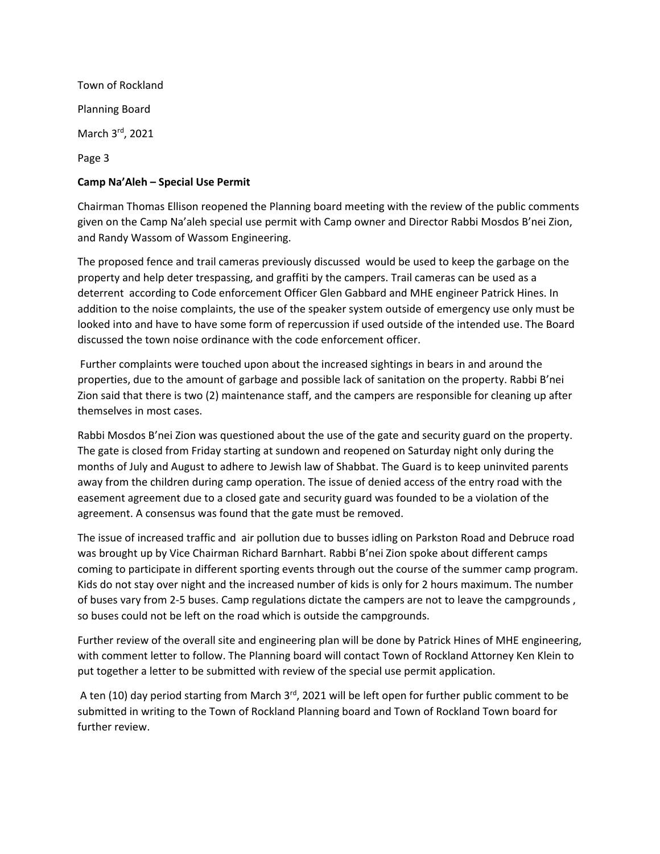Town of Rockland Planning Board March 3rd, 2021 Page 3

## **Camp Na'Aleh – Special Use Permit**

Chairman Thomas Ellison reopened the Planning board meeting with the review of the public comments given on the Camp Na'aleh special use permit with Camp owner and Director Rabbi Mosdos B'nei Zion, and Randy Wassom of Wassom Engineering.

The proposed fence and trail cameras previously discussed would be used to keep the garbage on the property and help deter trespassing, and graffiti by the campers. Trail cameras can be used as a deterrent according to Code enforcement Officer Glen Gabbard and MHE engineer Patrick Hines. In addition to the noise complaints, the use of the speaker system outside of emergency use only must be looked into and have to have some form of repercussion if used outside of the intended use. The Board discussed the town noise ordinance with the code enforcement officer.

Further complaints were touched upon about the increased sightings in bears in and around the properties, due to the amount of garbage and possible lack of sanitation on the property. Rabbi B'nei Zion said that there is two (2) maintenance staff, and the campers are responsible for cleaning up after themselves in most cases.

Rabbi Mosdos B'nei Zion was questioned about the use of the gate and security guard on the property. The gate is closed from Friday starting at sundown and reopened on Saturday night only during the months of July and August to adhere to Jewish law of Shabbat. The Guard is to keep uninvited parents away from the children during camp operation. The issue of denied access of the entry road with the easement agreement due to a closed gate and security guard was founded to be a violation of the agreement. A consensus was found that the gate must be removed.

The issue of increased traffic and air pollution due to busses idling on Parkston Road and Debruce road was brought up by Vice Chairman Richard Barnhart. Rabbi B'nei Zion spoke about different camps coming to participate in different sporting events through out the course of the summer camp program. Kids do not stay over night and the increased number of kids is only for 2 hours maximum. The number of buses vary from 2-5 buses. Camp regulations dictate the campers are not to leave the campgrounds , so buses could not be left on the road which is outside the campgrounds.

Further review of the overall site and engineering plan will be done by Patrick Hines of MHE engineering, with comment letter to follow. The Planning board will contact Town of Rockland Attorney Ken Klein to put together a letter to be submitted with review of the special use permit application.

A ten (10) day period starting from March  $3<sup>rd</sup>$ , 2021 will be left open for further public comment to be submitted in writing to the Town of Rockland Planning board and Town of Rockland Town board for further review.